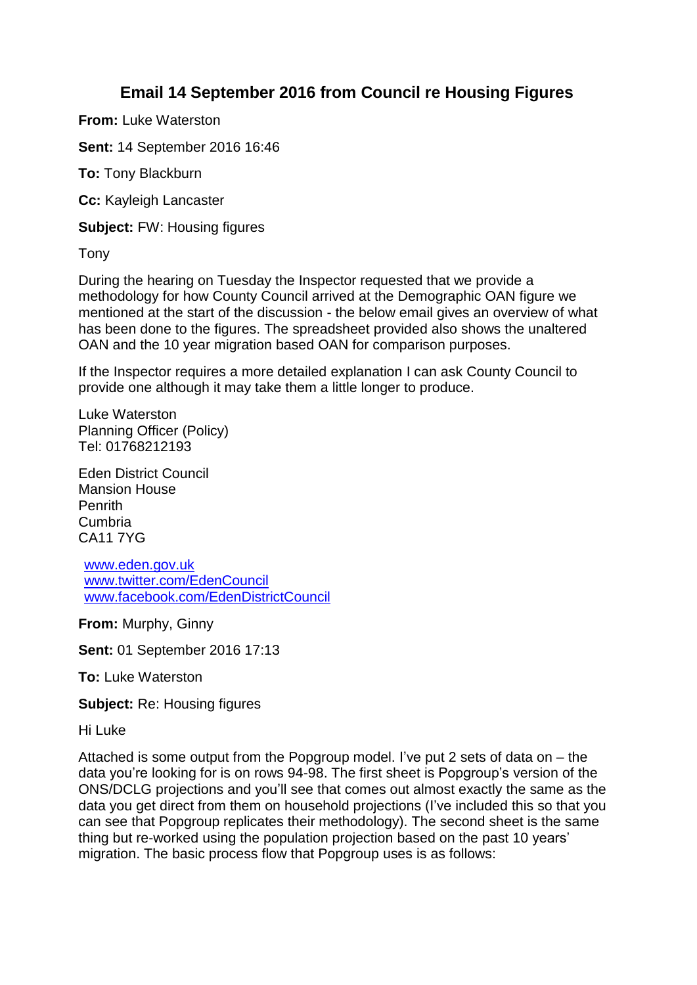## **Email 14 September 2016 from Council re Housing Figures**

**From:** Luke Waterston

**Sent:** 14 September 2016 16:46

**To:** Tony Blackburn

**Cc:** Kayleigh Lancaster

**Subject:** FW: Housing figures

Tony

During the hearing on Tuesday the Inspector requested that we provide a methodology for how County Council arrived at the Demographic OAN figure we mentioned at the start of the discussion - the below email gives an overview of what has been done to the figures. The spreadsheet provided also shows the unaltered OAN and the 10 year migration based OAN for comparison purposes.

If the Inspector requires a more detailed explanation I can ask County Council to provide one although it may take them a little longer to produce.

Luke Waterston Planning Officer (Policy) Tel: 01768212193

Eden District Council Mansion House **Penrith** Cumbria CA11 7YG

[www.eden.gov.uk](http://www.eden.gov.uk/) [www.twitter.com/EdenCouncil](http://www.twitter.com/EdenCouncil) [www.facebook.com/EdenDistrictCouncil](http://www.facebook.com/EdenDistrictCouncil)

**From:** Murphy, Ginny

**Sent:** 01 September 2016 17:13

**To:** Luke Waterston

**Subject:** Re: Housing figures

Hi Luke

Attached is some output from the Popgroup model. I've put 2 sets of data on – the data you're looking for is on rows 94-98. The first sheet is Popgroup's version of the ONS/DCLG projections and you'll see that comes out almost exactly the same as the data you get direct from them on household projections (I've included this so that you can see that Popgroup replicates their methodology). The second sheet is the same thing but re-worked using the population projection based on the past 10 years' migration. The basic process flow that Popgroup uses is as follows: